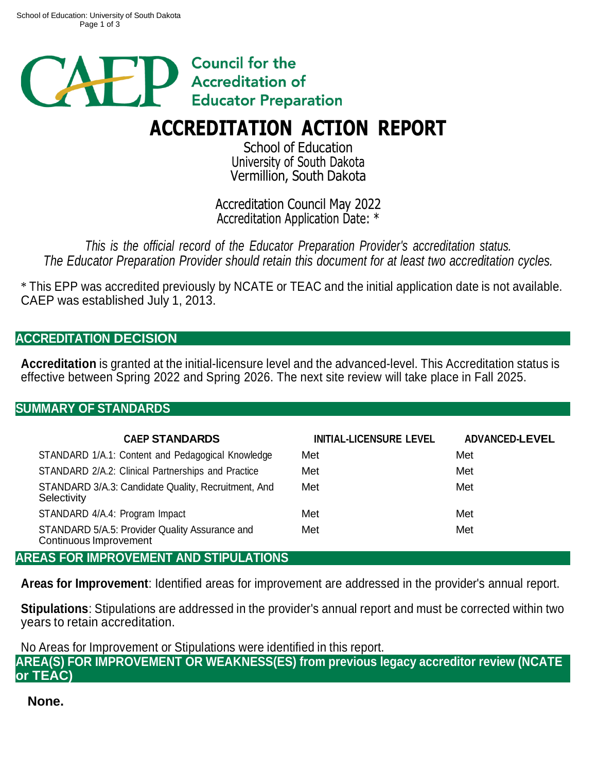

# **ACCREDITATION ACTION REPORT**

School of Education University of South Dakota Vermillion, South Dakota

Accreditation Council May 2022 Accreditation Application Date: \*

*This is the official record of the Educator Preparation Provider's accreditation status. The Educator Preparation Provider should retain this document for at least two accreditation cycles.*

\* This EPP was accredited previously by NCATE or TEAC and the initial application date is not available. CAEP was established July 1, 2013.

## **ACCREDITATION DECISION**

**Accreditation** is granted at the initial-licensure level and the advanced-level. This Accreditation status is effective between Spring 2022 and Spring 2026. The next site review will take place in Fall 2025.

#### **SUMMARY OF STANDARDS**

| <b>CAEP STANDARDS</b>                                                    | <b>INITIAL-LICENSURE LEVEL</b> | <b>ADVANCED-LEVEL</b> |
|--------------------------------------------------------------------------|--------------------------------|-----------------------|
| STANDARD 1/A.1: Content and Pedagogical Knowledge                        | Met                            | Met                   |
| STANDARD 2/A.2: Clinical Partnerships and Practice                       | Met                            | Met                   |
| STANDARD 3/A.3: Candidate Quality, Recruitment, And<br>Selectivity       | Met                            | Met                   |
| STANDARD 4/A.4: Program Impact                                           | Met                            | Met                   |
| STANDARD 5/A.5: Provider Quality Assurance and<br>Continuous Improvement | Met                            | Met                   |
| AREAS FOR IMPROVEMENT AND STIPULATIONS                                   |                                |                       |

**Areas for Improvement**: Identified areas for improvement are addressed in the provider's annual report.

**Stipulations**: Stipulations are addressed in the provider's annual report and must be corrected within two years to retain accreditation.

No Areas for Improvement or Stipulations were identified in this report.

**AREA(S) FOR IMPROVEMENT OR WEAKNESS(ES) from previous legacy accreditor review (NCATE or TEAC)**

**None.**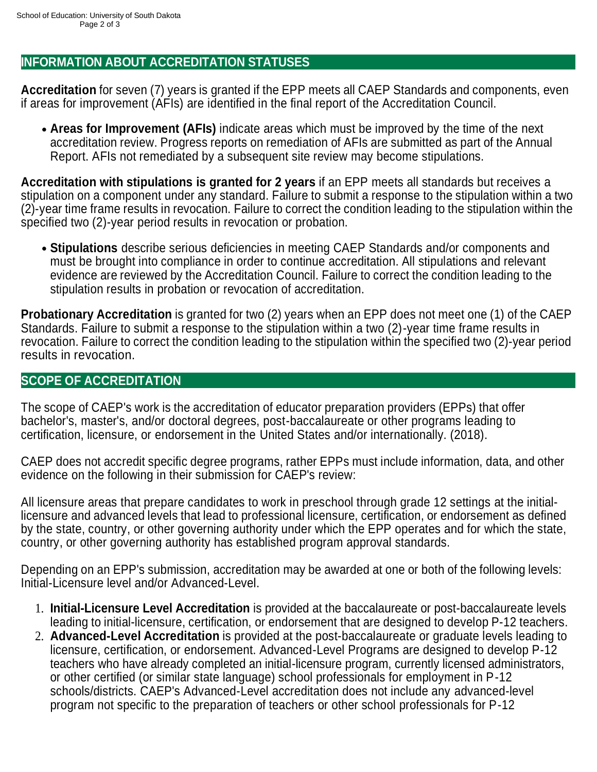### **INFORMATION ABOUT ACCREDITATION STATUSES**

**Accreditation** for seven (7) years is granted if the EPP meets all CAEP Standards and components, even if areas for improvement (AFIs) are identified in the final report of the Accreditation Council.

**Areas for Improvement (AFIs)** indicate areas which must be improved by the time of the next accreditation review. Progress reports on remediation of AFIs are submitted as part of the Annual Report. AFIs not remediated by a subsequent site review may become stipulations.

**Accreditation with stipulations is granted for 2 years** if an EPP meets all standards but receives a stipulation on a component under any standard. Failure to submit a response to the stipulation within a two (2)-year time frame results in revocation. Failure to correct the condition leading to the stipulation within the specified two (2)-year period results in revocation or probation.

**Stipulations** describe serious deficiencies in meeting CAEP Standards and/or components and must be brought into compliance in order to continue accreditation. All stipulations and relevant evidence are reviewed by the Accreditation Council. Failure to correct the condition leading to the stipulation results in probation or revocation of accreditation.

**Probationary Accreditation** is granted for two (2) years when an EPP does not meet one (1) of the CAEP Standards. Failure to submit a response to the stipulation within a two (2)-year time frame results in revocation. Failure to correct the condition leading to the stipulation within the specified two (2)-year period results in revocation.

#### **SCOPE OF ACCREDITATION**

The scope of CAEP's work is the accreditation of educator preparation providers (EPPs) that offer bachelor's, master's, and/or doctoral degrees, post-baccalaureate or other programs leading to certification, licensure, or endorsement in the United States and/or internationally. (2018).

CAEP does not accredit specific degree programs, rather EPPs must include information, data, and other evidence on the following in their submission for CAEP's review:

All licensure areas that prepare candidates to work in preschool through grade 12 settings at the initiallicensure and advanced levels that lead to professional licensure, certification, or endorsement as defined by the state, country, or other governing authority under which the EPP operates and for which the state, country, or other governing authority has established program approval standards.

Depending on an EPP's submission, accreditation may be awarded at one or both of the following levels: Initial-Licensure level and/or Advanced-Level.

- 1. **Initial-Licensure Level Accreditation** is provided at the baccalaureate or post-baccalaureate levels leading to initial-licensure, certification, or endorsement that are designed to develop P-12 teachers.
- 2. **Advanced-Level Accreditation** is provided at the post-baccalaureate or graduate levels leading to licensure, certification, or endorsement. Advanced-Level Programs are designed to develop P-12 teachers who have already completed an initial-licensure program, currently licensed administrators, or other certified (or similar state language) school professionals for employment in P-12 schools/districts. CAEP's Advanced-Level accreditation does not include any advanced-level program not specific to the preparation of teachers or other school professionals for P-12